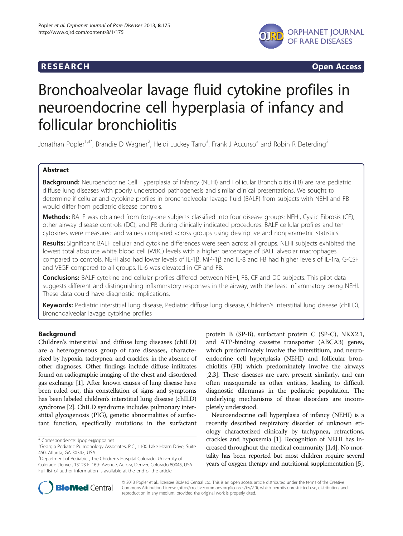

**RESEARCH RESEARCH CONSUMING ACCESS** 

# Bronchoalveolar lavage fluid cytokine profiles in neuroendocrine cell hyperplasia of infancy and follicular bronchiolitis

Jonathan Popler<sup>1,3\*</sup>, Brandie D Wagner<sup>2</sup>, Heidi Luckey Tarro<sup>3</sup>, Frank J Accurso<sup>3</sup> and Robin R Deterding<sup>3</sup>

# Abstract

Background: Neuroendocrine Cell Hyperplasia of Infancy (NEHI) and Follicular Bronchiolitis (FB) are rare pediatric diffuse lung diseases with poorly understood pathogenesis and similar clinical presentations. We sought to determine if cellular and cytokine profiles in bronchoalveolar lavage fluid (BALF) from subjects with NEHI and FB would differ from pediatric disease controls.

Methods: BALF was obtained from forty-one subjects classified into four disease groups: NEHI, Cystic Fibrosis (CF), other airway disease controls (DC), and FB during clinically indicated procedures. BALF cellular profiles and ten cytokines were measured and values compared across groups using descriptive and nonparametric statistics.

Results: Significant BALF cellular and cytokine differences were seen across all groups. NEHI subjects exhibited the lowest total absolute white blood cell (WBC) levels with a higher percentage of BALF alveolar macrophages compared to controls. NEHI also had lower levels of IL-1β, MIP-1β and IL-8 and FB had higher levels of IL-1ra, G-CSF and VEGF compared to all groups. IL-6 was elevated in CF and FB.

Conclusions: BALF cytokine and cellular profiles differed between NEHI, FB, CF and DC subjects. This pilot data suggests different and distinguishing inflammatory responses in the airway, with the least inflammatory being NEHI. These data could have diagnostic implications.

Keywords: Pediatric interstitial lung disease, Pediatric diffuse lung disease, Children's interstitial lung disease (chILD), Bronchoalveolar lavage cytokine profiles

# Background

Children's interstitial and diffuse lung diseases (chILD) are a heterogeneous group of rare diseases, characterized by hypoxia, tachypnea, and crackles, in the absence of other diagnoses. Other findings include diffuse infiltrates found on radiographic imaging of the chest and disordered gas exchange [\[1\]](#page-7-0). After known causes of lung disease have been ruled out, this constellation of signs and symptoms has been labeled children's interstitial lung disease (chILD) syndrome [[2\]](#page-7-0). ChILD syndrome includes pulmonary interstitial glycogenosis (PIG), genetic abnormalities of surfactant function, specifically mutations in the surfactant

<sup>3</sup>Department of Pediatrics, The Children's Hospital Colorado, University of Colorado Denver, 13123 E. 16th Avenue, Aurora, Denver, Colorado 80045, USA Full list of author information is available at the end of the article

protein B (SP-B), surfactant protein C (SP-C), NKX2.1, and ATP-binding cassette transporter (ABCA3) genes, which predominately involve the interstitium, and neuroendocrine cell hyperplasia (NEHI) and follicular bronchiolitis (FB) which predominately involve the airways [[2,3](#page-7-0)]. These diseases are rare, present similarly, and can often masquerade as other entities, leading to difficult diagnostic dilemmas in the pediatric population. The underlying mechanisms of these disorders are incompletely understood.

Neuroendocrine cell hyperplasia of infancy (NEHI) is a recently described respiratory disorder of unknown etiology characterized clinically by tachypnea, retractions, crackles and hypoxemia [[1](#page-7-0)]. Recognition of NEHI has increased throughout the medical community [\[1,4\]](#page-7-0). No mortality has been reported but most children require several years of oxygen therapy and nutritional supplementation [\[5\]](#page-7-0).



© 2013 Popler et al.; licensee BioMed Central Ltd. This is an open access article distributed under the terms of the Creative Commons Attribution License [\(http://creativecommons.org/licenses/by/2.0\)](http://creativecommons.org/licenses/by/2.0), which permits unrestricted use, distribution, and reproduction in any medium, provided the original work is properly cited.

<sup>\*</sup> Correspondence: [Jpopler@gppa.net](mailto:Jpopler@gppa.net) <sup>1</sup>

<sup>&</sup>lt;sup>1</sup>Georgia Pediatric Pulmonology Associates, P.C., 1100 Lake Hearn Drive, Suite 450, Atlanta, GA 30342, USA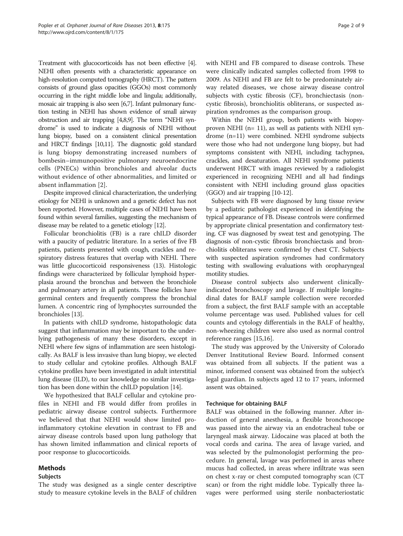Treatment with glucocorticoids has not been effective [\[4\]](#page-7-0). NEHI often presents with a characteristic appearance on high-resolution computed tomography (HRCT). The pattern consists of ground glass opacities (GGOs) most commonly occurring in the right middle lobe and lingula; additionally, mosaic air trapping is also seen [[6,7\]](#page-7-0). Infant pulmonary function testing in NEHI has shown evidence of small airway obstruction and air trapping [\[4,8,9](#page-7-0)]. The term "NEHI syndrome" is used to indicate a diagnosis of NEHI without lung biopsy, based on a consistent clinical presentation and HRCT findings [\[10,11\]](#page-7-0). The diagnostic gold standard is lung biopsy demonstrating increased numbers of bombesin–immunopositive pulmonary neuroendocrine cells (PNECs) within bronchioles and alveolar ducts without evidence of other abnormalities, and limited or absent inflammation [[2\]](#page-7-0).

Despite improved clinical characterization, the underlying etiology for NEHI is unknown and a genetic defect has not been reported. However, multiple cases of NEHI have been found within several families, suggesting the mechanism of disease may be related to a genetic etiology [\[12](#page-7-0)].

Follicular bronchiolitis (FB) is a rare chILD disorder with a paucity of pediatric literature. In a series of five FB patients, patients presented with cough, crackles and respiratory distress features that overlap with NEHI. There was little glucocorticoid responsiveness (13). Histologic findings were characterized by follicular lymphoid hyperplasia around the bronchus and between the bronchiole and pulmonary artery in all patients. These follicles have germinal centers and frequently compress the bronchial lumen. A concentric ring of lymphocytes surrounded the bronchioles [[13](#page-7-0)].

In patients with chILD syndrome, histopathologic data suggest that inflammation may be important to the underlying pathogenesis of many these disorders, except in NEHI where few signs of inflammation are seen histologically. As BALF is less invasive than lung biopsy, we elected to study cellular and cytokine profiles. Although BALF cytokine profiles have been investigated in adult interstitial lung disease (ILD), to our knowledge no similar investigation has been done within the chILD population [\[14\]](#page-7-0).

We hypothesized that BALF cellular and cytokine profiles in NEHI and FB would differ from profiles in pediatric airway disease control subjects. Furthermore we believed that that NEHI would show limited proinflammatory cytokine elevation in contrast to FB and airway disease controls based upon lung pathology that has shown limited inflammation and clinical reports of poor response to glucocorticoids.

### Methods

### Subjects

The study was designed as a single center descriptive study to measure cytokine levels in the BALF of children with NEHI and FB compared to disease controls. These were clinically indicated samples collected from 1998 to 2009. As NEHI and FB are felt to be predominately airway related diseases, we chose airway disease control subjects with cystic fibrosis (CF), bronchiectasis (noncystic fibrosis), bronchiolitis obliterans, or suspected aspiration syndromes as the comparison group.

Within the NEHI group, both patients with biopsyproven NEHI (n= 11), as well as patients with NEHI syndrome (n=11) were combined. NEHI syndrome subjects were those who had not undergone lung biopsy, but had symptoms consistent with NEHI, including tachypnea, crackles, and desaturation. All NEHI syndrome patients underwent HRCT with images reviewed by a radiologist experienced in recognizing NEHI and all had findings consistent with NEHI including ground glass opacities (GGO) and air trapping [\[10-12\]](#page-7-0).

Subjects with FB were diagnosed by lung tissue review by a pediatric pathologist experienced in identifying the typical appearance of FB. Disease controls were confirmed by appropriate clinical presentation and confirmatory testing. CF was diagnosed by sweat test and genotyping. The diagnosis of non-cystic fibrosis bronchiectasis and bronchiolitis obliterans were confirmed by chest CT. Subjects with suspected aspiration syndromes had confirmatory testing with swallowing evaluations with oropharyngeal motility studies.

Disease control subjects also underwent clinicallyindicated bronchoscopy and lavage. If multiple longitudinal dates for BALF sample collection were recorded from a subject, the first BALF sample with an acceptable volume percentage was used. Published values for cell counts and cytology differentials in the BALF of healthy, non-wheezing children were also used as normal control reference ranges [[15,16\]](#page-7-0).

The study was approved by the University of Colorado Denver Institutional Review Board. Informed consent was obtained from all subjects. If the patient was a minor, informed consent was obtained from the subject's legal guardian. In subjects aged 12 to 17 years, informed assent was obtained.

#### Technique for obtaining BALF

BALF was obtained in the following manner. After induction of general anesthesia, a flexible bronchoscope was passed into the airway via an endotracheal tube or laryngeal mask airway. Lidocaine was placed at both the vocal cords and carina. The area of lavage varied, and was selected by the pulmonologist performing the procedure. In general, lavage was performed in areas where mucus had collected, in areas where infiltrate was seen on chest x-ray or chest computed tomography scan (CT scan) or from the right middle lobe. Typically three lavages were performed using sterile nonbacteriostatic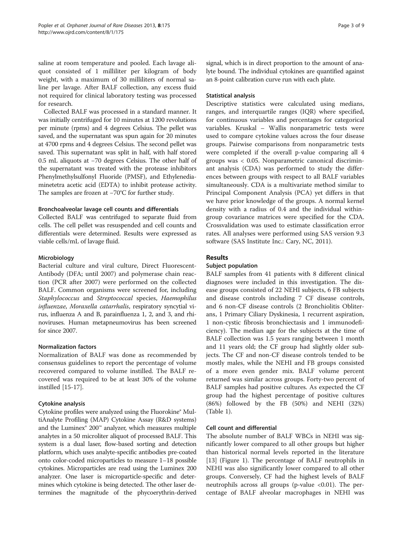saline at room temperature and pooled. Each lavage aliquot consisted of 1 milliliter per kilogram of body weight, with a maximum of 30 milliliters of normal saline per lavage. After BALF collection, any excess fluid not required for clinical laboratory testing was processed for research.

Collected BALF was processed in a standard manner. It was initially centrifuged for 10 minutes at 1200 revolutions per minute (rpms) and 4 degrees Celsius. The pellet was saved, and the supernatant was spun again for 20 minutes at 4700 rpms and 4 degrees Celsius. The second pellet was saved. This supernatant was split in half, with half stored 0.5 mL aliquots at −70 degrees Celsius. The other half of the supernatant was treated with the protease inhibitors Phenylmethylsulfonyl Fluoride (PMSF), and Ethylenediaminetetra acetic acid (EDTA) to inhibit protease activity. The samples are frozen at −70°C for further study.

#### Bronchoalveolar lavage cell counts and differentials

Collected BALF was centrifuged to separate fluid from cells. The cell pellet was resuspended and cell counts and differentials were determined. Results were expressed as viable cells/mL of lavage fluid.

### Microbiology

Bacterial culture and viral culture, Direct Fluorescent-Antibody (DFA; until 2007) and polymerase chain reaction (PCR after 2007) were performed on the collected BALF. Common organisms were screened for, including Staphylococcus and Streptococcal species, Haemophilus influenzae, Moraxella catarrhalis, respiratory syncytial virus, influenza A and B, parainfluenza 1, 2, and 3, and rhinoviruses. Human metapneumovirus has been screened for since 2007.

### Normalization factors

Normalization of BALF was done as recommended by consensus guidelines to report the percentage of volume recovered compared to volume instilled. The BALF recovered was required to be at least 30% of the volume instilled [\[15-17](#page-7-0)].

# Cytokine analysis

Cytokine profiles were analyzed using the Fluorokine® MultiAnalyte Profiling (MAP) Cytokine Assay (R&D systems) and the Luminex® 200™ analyzer, which measures multiple analytes in a 50 microliter aliquot of processed BALF. This system is a dual laser, flow-based sorting and detection platform, which uses analyte-specific antibodies pre-coated onto color-coded microparticles to measure 1–18 possible cytokines. Microparticles are read using the Luminex 200 analyzer. One laser is microparticle-specific and determines which cytokine is being detected. The other laser determines the magnitude of the phycoerythrin-derived

signal, which is in direct proportion to the amount of analyte bound. The individual cytokines are quantified against an 8-point calibration curve run with each plate.

# Statistical analysis

Descriptive statistics were calculated using medians, ranges, and interquartile ranges (IQR) where specified, for continuous variables and percentages for categorical variables. Kruskal – Wallis nonparametric tests were used to compare cytokine values across the four disease groups. Pairwise comparisons from nonparametric tests were completed if the overall p-value comparing all 4 groups was < 0.05. Nonparametric canonical discriminant analysis (CDA) was performed to study the differences between groups with respect to all BALF variables simultaneously. CDA is a multivariate method similar to Principal Component Analysis (PCA) yet differs in that we have prior knowledge of the groups. A normal kernel density with a radius of 0.4 and the individual withingroup covariance matrices were specified for the CDA. Crossvalidation was used to estimate classification error rates. All analyses were performed using SAS version 9.3 software (SAS Institute Inc.: Cary, NC, 2011).

# Results

# Subject population

BALF samples from 41 patients with 8 different clinical diagnoses were included in this investigation. The disease groups consisted of 22 NEHI subjects, 6 FB subjects and disease controls including 7 CF disease controls, and 6 non-CF disease controls (2 Bronchiolitis Obliterans, 1 Primary Ciliary Dyskinesia, 1 recurrent aspiration, 1 non-cystic fibrosis bronchiectasis and 1 immunodeficiency). The median age for the subjects at the time of BALF collection was 1.5 years ranging between 1 month and 11 years old; the CF group had slightly older subjects. The CF and non-CF disease controls tended to be mostly males, while the NEHI and FB groups consisted of a more even gender mix. BALF volume percent returned was similar across groups. Forty-two percent of BALF samples had positive cultures. As expected the CF group had the highest percentage of positive cultures (86%) followed by the FB (50%) and NEHI (32%) (Table [1\)](#page-3-0).

### Cell count and differential

The absolute number of BALF WBCs in NEHI was significantly lower compared to all other groups but higher than historical normal levels reported in the literature [[13\]](#page-7-0) (Figure [1\)](#page-3-0). The percentage of BALF neutrophils in NEHI was also significantly lower compared to all other groups. Conversely, CF had the highest levels of BALF neutrophils across all groups (p-value  $<0.01$ ). The percentage of BALF alveolar macrophages in NEHI was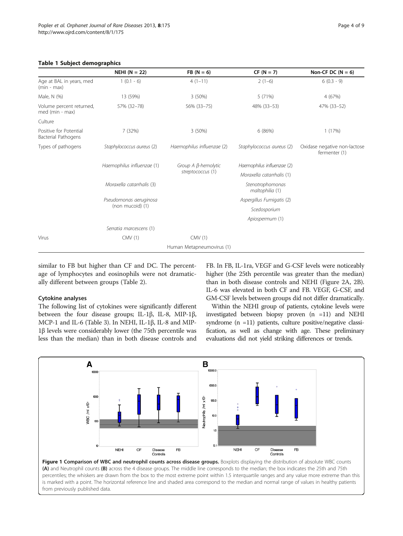<span id="page-3-0"></span>

|                                               | NEHI $(N = 22)$                            | $FB (N = 6)$                                    | $CF (N = 7)$                        | Non-CF DC $(N = 6)$                           |
|-----------------------------------------------|--------------------------------------------|-------------------------------------------------|-------------------------------------|-----------------------------------------------|
| Age at BAL in years, med<br>$(min - max)$     | $1(0.1 - 6)$                               | $4(1-11)$                                       | $2(1-6)$                            | $6(0.3 - 9)$                                  |
| Male, N (%)                                   | 13 (59%)                                   | 3(50%)                                          | 5 (71%)                             | 4 (67%)                                       |
| Volume percent returned,<br>med (min - max)   | 57% (32-78)                                | 56% (33-75)                                     | 48% (33-53)                         | 47% (33-52)                                   |
| Culture                                       |                                            |                                                 |                                     |                                               |
| Positive for Potential<br>Bacterial Pathogens | 7 (32%)                                    | 3(50%)                                          | 6 (86%)                             | 1(17%)                                        |
| Types of pathogens                            | Staphylococcus aureus (2)                  | Haemophilus influenzae (2)                      | Staphylococcus aureus (2)           | Oxidase negative non-lactose<br>fermenter (1) |
|                                               | Haemophilus influenzae (1)                 | Group $A \beta$ -hemolytic<br>streptococcus (1) | Haemophilus influenzae (2)          |                                               |
|                                               |                                            |                                                 | Moraxella catarrhalis (1)           |                                               |
|                                               | Moraxella catarrhalis (3)                  |                                                 | Stenotrophomonas<br>maltophilia (1) |                                               |
|                                               | Pseudomonas aeruginosa<br>(non mucoid) (1) |                                                 | Aspergillus Fumigatis (2)           |                                               |
|                                               |                                            |                                                 | Scedosporium                        |                                               |
|                                               |                                            |                                                 | Apiospermum (1)                     |                                               |
|                                               | Serratia marcescens (1)                    |                                                 |                                     |                                               |
| Virus                                         | CMV(1)                                     | CMV(1)                                          |                                     |                                               |
|                                               |                                            | Human Metapneumovirus (1)                       |                                     |                                               |

similar to FB but higher than CF and DC. The percentage of lymphocytes and eosinophils were not dramatically different between groups (Table [2\)](#page-4-0).

#### Cytokine analyses

The following list of cytokines were significantly different between the four disease groups; IL-1β, IL-8, MIP-1β, MCP-1 and IL-6 (Table [3](#page-4-0)). In NEHI, IL-1β, IL-8 and MIP-1β levels were considerably lower (the 75th percentile was less than the median) than in both disease controls and

FB. In FB, IL-1ra, VEGF and G-CSF levels were noticeably higher (the 25th percentile was greater than the median) than in both disease controls and NEHI (Figure [2A](#page-5-0), [2B](#page-5-0)). IL-6 was elevated in both CF and FB. VEGF, G-CSF, and GM-CSF levels between groups did not differ dramatically.

Within the NEHI group of patients, cytokine levels were investigated between biopsy proven (n =11) and NEHI syndrome (n =11) patients, culture positive/negative classification, as well as change with age. These preliminary evaluations did not yield striking differences or trends.



(A) and Neutrophil counts (B) across the 4 disease groups. The middle line corresponds to the median; the box indicates the 25th and 75th percentiles; the whiskers are drawn from the box to the most extreme point within 1.5 interquartile ranges and any value more extreme than this is marked with a point. The horizontal reference line and shaded area correspond to the median and normal range of values in healthy patients from previously published data.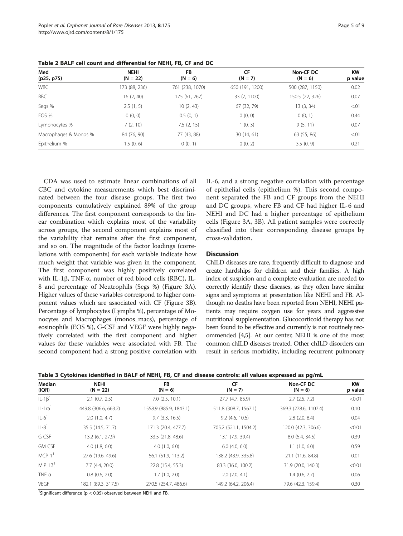| Med<br>(p25, p75)     | <b>NEHI</b><br>$(N = 22)$ | <b>FB</b><br>$(N = 6)$ | <b>CF</b><br>$(N = 7)$ | Non-CF DC<br>$(N = 6)$ | KW<br>p value |
|-----------------------|---------------------------|------------------------|------------------------|------------------------|---------------|
| <b>WBC</b>            | 173 (88, 236)             | 761 (238, 1070)        | 650 (191, 1200)        | 500 (287, 1150)        | 0.02          |
| <b>RBC</b>            | 16(2, 40)                 | 175 (61, 267)          | 33 (7, 1100)           | 150.5 (22, 326)        | 0.07          |
| Segs %                | 2.5(1, 5)                 | 10(2, 43)              | 67 (32, 79)            | 13 (3, 34)             | < 01          |
| EOS %                 | 0(0, 0)                   | 0.5(0, 1)              | 0(0, 0)                | 0(0, 1)                | 0.44          |
| Lymphocytes %         | 7(2, 10)                  | 7.5(2, 15)             | 1(0, 3)                | 9(5, 11)               | 0.07          |
| Macrophages & Monos % | 84 (76, 90)               | 77 (43, 88)            | 30(14, 61)             | 63 (55, 86)            | < 01          |
| Epithelium %          | 1.5(0, 6)                 | 0(0, 1)                | 0(0, 2)                | 3.5(0, 9)              | 0.21          |

<span id="page-4-0"></span>Table 2 BALF cell count and differential for NEHI, FB, CF and DC

CDA was used to estimate linear combinations of all CBC and cytokine measurements which best discriminated between the four disease groups. The first two components cumulatively explained 89% of the group differences. The first component corresponds to the linear combination which explains most of the variability across groups, the second component explains most of the variability that remains after the first component, and so on. The magnitude of the factor loadings (correlations with components) for each variable indicate how much weight that variable was given in the component. The first component was highly positively correlated with IL-1β, TNF-α, number of red blood cells (RBC), IL-8 and percentage of Neutrophils (Segs %) (Figure [3](#page-5-0)A). Higher values of these variables correspond to higher component values which are associated with CF (Figure [3B](#page-5-0)). Percentage of lymphocytes (Lymphs %), percentage of Monocytes and Macrophages (monos\_macs), percentage of eosinophils (EOS %), G-CSF and VEGF were highly negatively correlated with the first component and higher values for these variables were associated with FB. The second component had a strong positive correlation with IL-6, and a strong negative correlation with percentage of epithelial cells (epithelium %). This second component separated the FB and CF groups from the NEHI and DC groups, where FB and CF had higher IL-6 and NEHI and DC had a higher percentage of epithelium cells (Figure [3A](#page-5-0), [3](#page-5-0)B). All patient samples were correctly classified into their corresponding disease groups by cross-validation.

# **Discussion**

ChILD diseases are rare, frequently difficult to diagnose and create hardships for children and their families. A high index of suspicion and a complete evaluation are needed to correctly identify these diseases, as they often have similar signs and symptoms at presentation like NEHI and FB. Although no deaths have been reported from NEHI, NEHI patients may require oxygen use for years and aggressive nutritional supplementation. Glucocorticoid therapy has not been found to be effective and currently is not routinely recommended [\[4,5](#page-7-0)]. At our center, NEHI is one of the most common chILD diseases treated. Other chILD disorders can result in serious morbidity, including recurrent pulmonary

| Median<br>(IQR)     | <b>NEHI</b><br>$(N = 22)$ | <b>FB</b><br>$(N = 6)$ | CF<br>$(N = 7)$       | Non-CF DC<br>$(N = 6)$ | <b>KW</b><br>p value |  |
|---------------------|---------------------------|------------------------|-----------------------|------------------------|----------------------|--|
| $IL-1\beta^1$       | $2.1$ (0.7, 2.5)          | $7.0$ $(2.5, 10.1)$    | 27.7 (4.7, 85.9)      | 2.7(2.5, 7.2)          | < 0.01               |  |
| $IL-Ira'$           | 449.8 (306.6, 663.2)      | 1558.9 (885.9, 1843.1) | 511.8 (308.7, 1567.1) | 369.3 (278.6, 1107.4)  | 0.10                 |  |
| $IL-6$ <sup>1</sup> | 2.0(1.0, 4.7)             | $9.7$ $(3.3, 16.5)$    | 9.2(4.6, 10.6)        | 2.8(2.0, 8.4)          | 0.04                 |  |
| $IL-81$             | 35.5 (14.5, 71.7)         | 171.3 (20.4, 477.7)    | 705.2 (521.1, 1504.2) | 120.0 (42.3, 306.6)    | < 0.01               |  |
| G CSF               | 13.2 (6.1, 27.9)          | 33.5 (21.8, 48.6)      | 13.1 (7.9, 39.4)      | 8.0 (5.4, 34.5)        | 0.39                 |  |
| <b>GM CSF</b>       | 4.0(1.8, 6.0)             | 4.0(1.0, 6.0)          | 6.0(4.0, 6.0)         | 1.1(1.0, 6.0)          | 0.59                 |  |
| MCP $11$            | 27.6 (19.6, 49.6)         | 56.1 (51.9, 113.2)     | 138.2 (43.9, 335.8)   | 21.1 (11.6, 84.8)      | 0.01                 |  |
| MIP $1\beta^1$      | 7.7(4.4, 20.0)            | 22.8 (15.4, 55.3)      | 83.3 (36.0, 100.2)    | 31.9 (20.0, 140.3)     | < 0.01               |  |
| TNF $\alpha$        | 0.8(0.6, 2.0)             | 1.7(1.0, 2.0)          | 2.0(2.0, 4.1)         | 1.4(0.6, 2.7)          | 0.06                 |  |
| <b>VEGF</b>         | 182.1 (89.3, 317.5)       | 270.5 (254.7, 486.6)   | 149.2 (64.2, 206.4)   | 79.6 (42.3, 159.4)     | 0.30                 |  |

<sup>1</sup>Significant difference ( $p < 0.05$ ) observed between NEHI and FB.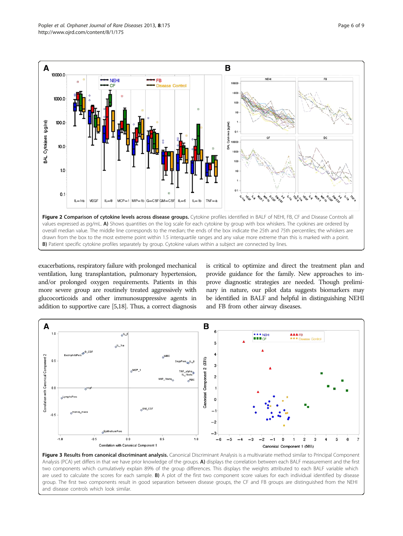

<span id="page-5-0"></span>

exacerbations, respiratory failure with prolonged mechanical ventilation, lung transplantation, pulmonary hypertension, and/or prolonged oxygen requirements. Patients in this more severe group are routinely treated aggressively with glucocorticoids and other immunosuppressive agents in addition to supportive care [\[5,18](#page-7-0)]. Thus, a correct diagnosis

is critical to optimize and direct the treatment plan and provide guidance for the family. New approaches to improve diagnostic strategies are needed. Though preliminary in nature, our pilot data suggests biomarkers may be identified in BALF and helpful in distinguishing NEHI and FB from other airway diseases.



Figure 3 Results from canonical discriminant analysis. Canonical Discriminant Analysis is a multivariate method similar to Principal Component Analysis (PCA) yet differs in that we have prior knowledge of the groups. A) displays the correlation between each BALF measurement and the first two components which cumulatively explain 89% of the group differences. This displays the weights attributed to each BALF variable which are used to calculate the scores for each sample. B) A plot of the first two component score values for each individual identified by disease group. The first two components result in good separation between disease groups, the CF and FB groups are distinguished from the NEHI and disease controls which look similar.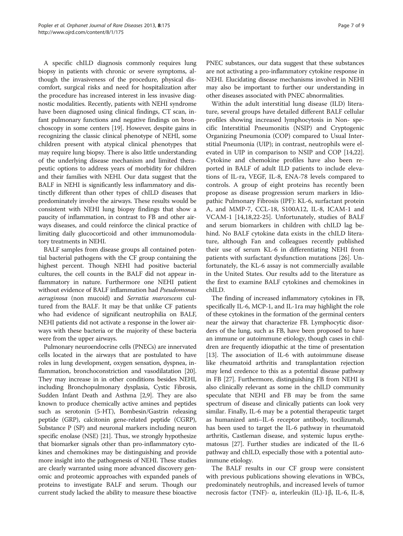A specific chILD diagnosis commonly requires lung biopsy in patients with chronic or severe symptoms, although the invasiveness of the procedure, physical discomfort, surgical risks and need for hospitalization after the procedure has increased interest in less invasive diagnostic modalities. Recently, patients with NEHI syndrome have been diagnosed using clinical findings, CT scan, infant pulmonary functions and negative findings on bronchoscopy in some centers [\[19\]](#page-7-0). However, despite gains in recognizing the classic clinical phenotype of NEHI, some children present with atypical clinical phenotypes that may require lung biopsy. There is also little understanding of the underlying disease mechanism and limited therapeutic options to address years of morbidity for children and their families with NEHI. Our data suggest that the BALF in NEHI is significantly less inflammatory and distinctly different than other types of chILD diseases that predominately involve the airways. These results would be consistent with NEHI lung biopsy findings that show a paucity of inflammation, in contrast to FB and other airways diseases, and could reinforce the clinical practice of limiting daily glucocorticoid and other immunomodulatory treatments in NEHI.

BALF samples from disease groups all contained potential bacterial pathogens with the CF group containing the highest percent. Though NEHI had positive bacterial cultures, the cell counts in the BALF did not appear inflammatory in nature. Furthermore one NEHI patient without evidence of BALF inflammation had Pseudomonas aeruginosa (non mucoid) and Serratia marcescens cultured from the BALF. It may be that unlike CF patients who had evidence of significant neutrophilia on BALF, NEHI patients did not activate a response in the lower airways with these bacteria or the majority of these bacteria were from the upper airways.

Pulmonary neuroendocrine cells (PNECs) are innervated cells located in the airways that are postulated to have roles in lung development, oxygen sensation, dyspnea, in-flammation, bronchoconstriction and vasodilatation [[20](#page-7-0)]. They may increase in in other conditions besides NEHI, including Bronchopulmonary dysplasia, Cystic Fibrosis, Sudden Infant Death and Asthma [\[2,9\]](#page-7-0). They are also known to produce chemically active amines and peptides such as serotonin (5-HT), Bombesin/Gastrin releasing peptide (GRP), calcitonin gene-related peptide (CGRP), Substance P (SP) and neuronal markers including neuron specific enolase (NSE) [\[21\]](#page-7-0). Thus, we strongly hypothesize that biomarker signals other than pro-inflammatory cytokines and chemokines may be distinguishing and provide more insight into the pathogenesis of NEHI. These studies are clearly warranted using more advanced discovery genomic and proteomic approaches with expanded panels of proteins to investigate BALF and serum. Though our current study lacked the ability to measure these bioactive

PNEC substances, our data suggest that these substances are not activating a pro-inflammatory cytokine response in NEHI. Elucidating disease mechanisms involved in NEHI may also be important to further our understanding in other diseases associated with PNEC abnormalities.

Within the adult interstitial lung disease (ILD) literature, several groups have detailed different BALF cellular profiles showing increased lymphocytosis in Non- specific Interstitial Pneumonitis (NSIP) and Cryptogenic Organizing Pneumonia (COP) compared to Usual Interstitial Pneumonia (UIP); in contrast, neutrophils were elevated in UIP in comparison to NSIP and COP [\[14,22](#page-7-0)]. Cytokine and chemokine profiles have also been reported in BALF of adult ILD patients to include elevations of IL-ra, VEGF, IL-8, ENA-78 levels compared to controls. A group of eight proteins has recently been propose as disease progression serum markers in Idiopathic Pulmonary Fibrosis (IPF): KL-6, surfactant protein A, and MMP-7, CCL-18, S100A12, IL-8, ICAM-1 and VCAM-1 [\[14,18,22](#page-7-0)-[25\]](#page-8-0). Unfortunately, studies of BALF and serum biomarkers in children with chILD lag behind. No BALF cytokine data exists in the chILD literature, although Fan and colleagues recently published their use of serum KL-6 in differentiating NEHI from patients with surfactant dysfunction mutations [[26\]](#page-8-0). Unfortunately, the KL-6 assay is not commercially available in the United States. Our results add to the literature as the first to examine BALF cytokines and chemokines in chILD.

The finding of increased inflammatory cytokines in FB, specifically IL-6, MCP-1, and IL-1ra may highlight the role of these cytokines in the formation of the germinal centers near the airway that characterize FB. Lymphocytic disorders of the lung, such as FB, have been proposed to have an immune or autoimmune etiology, though cases in children are frequently idiopathic at the time of presentation [[13](#page-7-0)]. The association of IL-6 with autoimmune disease like rheumatoid arthritis and transplantation rejection may lend credence to this as a potential disease pathway in FB [[27](#page-8-0)]. Furthermore, distinguishing FB from NEHI is also clinically relevant as some in the chILD community speculate that NEHI and FB may be from the same spectrum of disease and clinically patients can look very similar. Finally, IL-6 may be a potential therapeutic target as humanized anti–IL-6 receptor antibody, tocilizumab, has been used to target the IL-6 pathway in rheumatoid arthritis, Castleman disease, and systemic lupus erythematosus [[27](#page-8-0)]. Further studies are indicated of the IL-6 pathway and chILD, especially those with a potential autoimmune etiology.

The BALF results in our CF group were consistent with previous publications showing elevations in WBCs, predominately neutrophils, and increased levels of tumor necrosis factor (TNF)- α, interleukin (IL)-1β, IL-6, IL-8,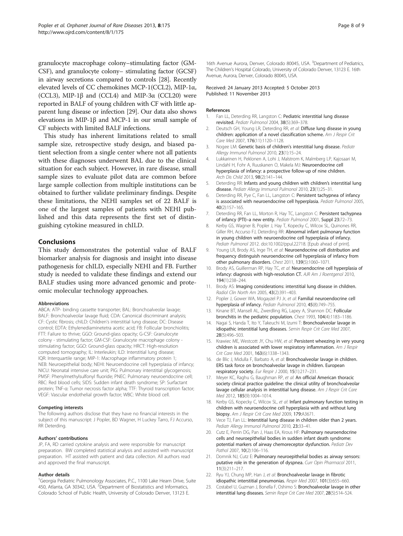<span id="page-7-0"></span>granulocyte macrophage colony–stimulating factor (GM-CSF), and granulocyte colony– stimulating factor (GCSF) in airway secretions compared to controls [[28](#page-8-0)]. Recently elevated levels of CC chemokines MCP-1(CCL2), MIP-1α, (CCL3), MIP-1 $\beta$  and (CCL4) and MIP-3 $\alpha$  (CCL20) were reported in BALF of young children with CF with little apparent lung disease or infection [\[29\]](#page-8-0). Our data also shows elevations in MIP-1β and MCP-1 in our small sample of CF subjects with limited BALF infections.

This study has inherent limitations related to small sample size, retrospective study design, and biased patient selection from a single center where not all patients with these diagnoses underwent BAL due to the clinical situation for each subject. However, in rare disease, small sample sizes to evaluate pilot data are common before large sample collection from multiple institutions can be obtained to further validate preliminary findings. Despite these limitations, the NEHI samples set of 22 BALF is one of the largest samples of patients with NEHI published and this data represents the first set of distinguishing cytokine measured in chILD.

#### **Conclusions**

This study demonstrates the potential value of BALF biomarker analysis for diagnosis and insight into disease pathogenesis for chILD, especially NEHI and FB. Further study is needed to validate these findings and extend our BALF studies using more advanced genomic and proteomic molecular technology approaches.

#### Abbreviations

ABCA: ATP- binding cassette transporter; BAL: Bronchoalveolar lavage; BALF: Bronchoalveolar lavage fluid; CDA: Canonical discriminant analysis; CF: Cystic fibrosis; chILD: Children's interstitial lung disease; DC: Disease control; EDTA: Ethylenediaminetetra acetic acid; FB: Follicular bronchiolitis; FTT: Failure to thrive; GGO: Ground-glass opacity; G-CSF: Granulocyte colony - stimulating factor; GM-CSF: Granulocyte macrophage colony stimulating factor; GGO: Ground-glass opacity; HRCT: High-resolution computed tomography; IL: Interleukin; ILD: Interstitial lung disease; IQR: Interquartile range; MIP-1: Macrophage inflammatory protein 1; NEB: Neuroepithelial body; NEHI: Neuroendocrine cell hyperplasia of infancy; NICU: Neonatal intensive care unit; PIG: Pulmonary interstitial glycogenosis; PMSF: Phenylmethylsulfonyl fluoride; PNEC: Pulmonary neuroendocrine cell; RBC: Red blood cells; SIDS: Sudden infant death syndrome; SP: Surfactant protein; TNF-α: Tumor necrosis factor alpha; TTF: Thyroid transcription factor; VEGF: Vascular endothelial growth factor; WBC: White blood cell.

#### Competing interests

The following authors disclose that they have no financial interests in the subject of this manuscript: J Popler, BD Wagner, H Luckey Tarro, FJ Accurso, RR Deterding.

#### Authors' contributions

JP, FA, RD carried cytokine analysis and were responsible for manuscript preparation. BW completed statistical analysis and assisted with manuscript preparation. HT assisted with patient and data collection. All authors read and approved the final manuscript.

#### Author details

<sup>1</sup>Georgia Pediatric Pulmonology Associates, P.C., 1100 Lake Hearn Drive, Suite 450, Atlanta, GA 30342, USA. <sup>2</sup>Department of Biostatistics and Informatics, Colorado School of Public Health, University of Colorado Denver, 13123 E.

16th Avenue Aurora, Denver, Colorado 80045, USA. <sup>3</sup>Department of Pediatrics The Children's Hospital Colorado, University of Colorado Denver, 13123 E. 16th Avenue, Aurora, Denver, Colorado 80045, USA.

#### Received: 24 January 2013 Accepted: 5 October 2013 Published: 11 November 2013

#### References

- 1. Fan LL, Deterding RR, Langston C: Pediatric interstitial lung disease revisited. Pediatr Pulmonol 2004, 38(5):369–378.
- 2. Deutsch GH, Young LR, Deterding RR, et al: Diffuse lung disease in young children: application of a novel classification scheme. Am J Respir Crit Care Med 2007, 176(11):1120–1128.
- Nogee LM: Genetic basis of children's interstitial lung disease. Pediatr Allergy Immunol Pulmonol 2010, 23(1):15–24.
- 4. Lukkarinen H, Peklonen A, Lohi J, Malstrom K, Malmberg LP, Kajosaari M, Lindahl H, Fohr A, Ruuskanen O, Makela MJ: Neuroendocrine cell hyperplasia of infancy: a prospective follow-up of nine children. Arch Dis Child 2013, 98(2):141–144.
- 5. Deterding RR: Infants and young children with children's interstitial lung disease. Pediatr Allergy Immunol Pulmonol 2010, 23(1):25–31.
- 6. Deterding RR, Pye C, Fan LL, Langston C: Persistent tachypnea of infancy is associated with neuroendocrine cell hyperplasia. Pediatr Pulmonol 2005, 40(2):157–165.
- 7. Deterding RR, Fan LL, Morton R, Hay TC, Langston C: Persistent tachypnea of infancy (PTI)–a new entity. Pediatr Pulmonol 2001, Suppl 23:72–73.
- 8. Kerby GS, Wagner B, Popler J, Hay T, Kopecky C, Wilcox SL, Quinones RR, Giller RH, Accurso FJ, Deterding RR: Abnormal infant pulmonary function in young children with neuroendocrine cell hyperplasia of infancy. Pediatr Pulmonol 2012. doi:10.1002/ppul.22718. [Epub ahead of print].
- 9. Young LR, Brody AS, Inge TH, et al: Neuroendocrine cell distribution and frequency distinguish neuroendocrine cell hyperplasia of infancy from other pulmonary disorders. Chest 2011, 139(5):1060–1071.
- 10. Brody AS, Guillerman RP, Hay TC, et al: Neuroendocrine cell hyperplasia of infancy: diagnosis with high-resolution CT. AJR Am J Roentgenol 2010, 194(1):238–244.
- 11. Brody AS: Imaging considerations: interstitial lung disease in children. Radiol Clin North Am 2005, 43(2):391–403.
- 12. Popler J, Gower WA, Mogayzel PJ Jr, et al: Familial neuroendocrine cell hyperplasia of infancy. Pediatr Pulmonol 2010, 45(8):749–755.
- 13. Kinane BT, Mansell AL, Zwerdling RG, Lapey A, Shannon DC: Follicular bronchitis in the pediatric population. Chest 1993, 104(4):1183–1186.
- 14. Nagai S, Handa T, Ito Y, Takeuchi M, Izumi T: Bronchoalveolar lavage in idiopathic interstitial lung diseases. Semin Respir Crit Care Med 2007, 28(5):496–503.
- 15. Krawiec ME, Westcott JY, Chu HW, et al: Persistent wheezing in very young children is associated with lower respiratory inflammation. Am J Respir Crit Care Med 2001, 163(6):1338-1343.
- 16. de Blic J, Midulla F, Barbato A, et al: Bronchoalveolar lavage in children. ERS task force on bronchoalveolar lavage in children. European respiratory society. Eur Respir J 2000, 15(1):217–231.
- 17. Meyer KC, Raghu G, Baughman RP, et al: An official American thoracic society clinical practice guideline: the clinical utility of bronchoalveolar lavage cellular analysis in interstitial lung disease. Am J Respir Crit Care Med 2012, 185(9):1004–1014.
- 18. Kerby GS, Kopecky C, Wilcox SL, et al: Infant pulmonary function testing in children with neuroendocrine cell hyperplasia with and without lung biopsy. Am J Respir Crit Care Med 2009, 179:A3671.
- 19. Vece TJ, Fan LL: Interstitial lung disease in children older than 2 years. Pediatr Allergy Immunol Pulmonol 2010, 23:33–41.
- 20. Cutz E, Perrin DG, Pan J, Haas EA, Krous HF: Pulmonary neuroendocrine cells and neuroepithelial bodies in sudden infant death syndrome: potential markers of airway chemoreceptor dysfunction. Pediatr Dev Pathol 2007, 10(2):106-116.
- 21. Domnik NJ, Cutz E: Pulmonary neuroepithelial bodies as airway sensors: putative role in the generation of dyspnea. Curr Opin Pharmacol 2011, 11(3):211–217.
- 22. Ryu YJ, Chung MP, Han J, et al: Bronchoalveolar lavage in fibrotic idiopathic interstitial pneumonias. Respir Med 2007, 101(3):655–660.
- 23. Costabel U, Guzman J, Bonella F, Oshimo S: Bronchoalveolar lavage in other interstitial lung diseases. Semin Respir Crit Care Med 2007, 28(5):514–524.